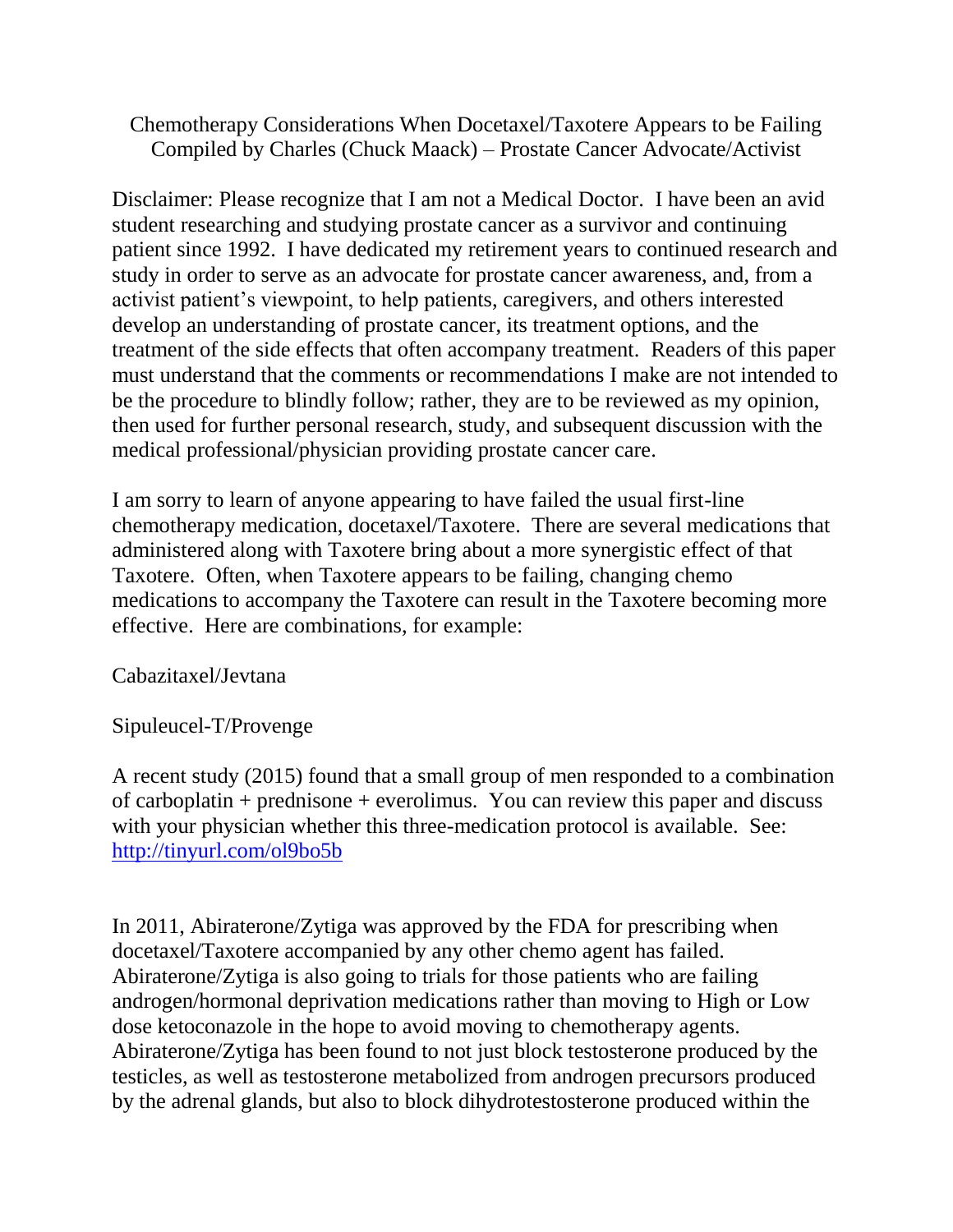Chemotherapy Considerations When Docetaxel/Taxotere Appears to be Failing Compiled by Charles (Chuck Maack) – Prostate Cancer Advocate/Activist

Disclaimer: Please recognize that I am not a Medical Doctor. I have been an avid student researching and studying prostate cancer as a survivor and continuing patient since 1992. I have dedicated my retirement years to continued research and study in order to serve as an advocate for prostate cancer awareness, and, from a activist patient's viewpoint, to help patients, caregivers, and others interested develop an understanding of prostate cancer, its treatment options, and the treatment of the side effects that often accompany treatment. Readers of this paper must understand that the comments or recommendations I make are not intended to be the procedure to blindly follow; rather, they are to be reviewed as my opinion, then used for further personal research, study, and subsequent discussion with the medical professional/physician providing prostate cancer care.

I am sorry to learn of anyone appearing to have failed the usual first-line chemotherapy medication, docetaxel/Taxotere. There are several medications that administered along with Taxotere bring about a more synergistic effect of that Taxotere. Often, when Taxotere appears to be failing, changing chemo medications to accompany the Taxotere can result in the Taxotere becoming more effective. Here are combinations, for example:

Cabazitaxel/Jevtana

Sipuleucel-T/Provenge

A recent study (2015) found that a small group of men responded to a combination of carboplatin + prednisone + everolimus. You can review this paper and discuss with your physician whether this three-medication protocol is available. See: <http://tinyurl.com/ol9bo5b>

In 2011, Abiraterone/Zytiga was approved by the FDA for prescribing when docetaxel/Taxotere accompanied by any other chemo agent has failed. Abiraterone/Zytiga is also going to trials for those patients who are failing androgen/hormonal deprivation medications rather than moving to High or Low dose ketoconazole in the hope to avoid moving to chemotherapy agents. Abiraterone/Zytiga has been found to not just block testosterone produced by the testicles, as well as testosterone metabolized from androgen precursors produced by the adrenal glands, but also to block dihydrotestosterone produced within the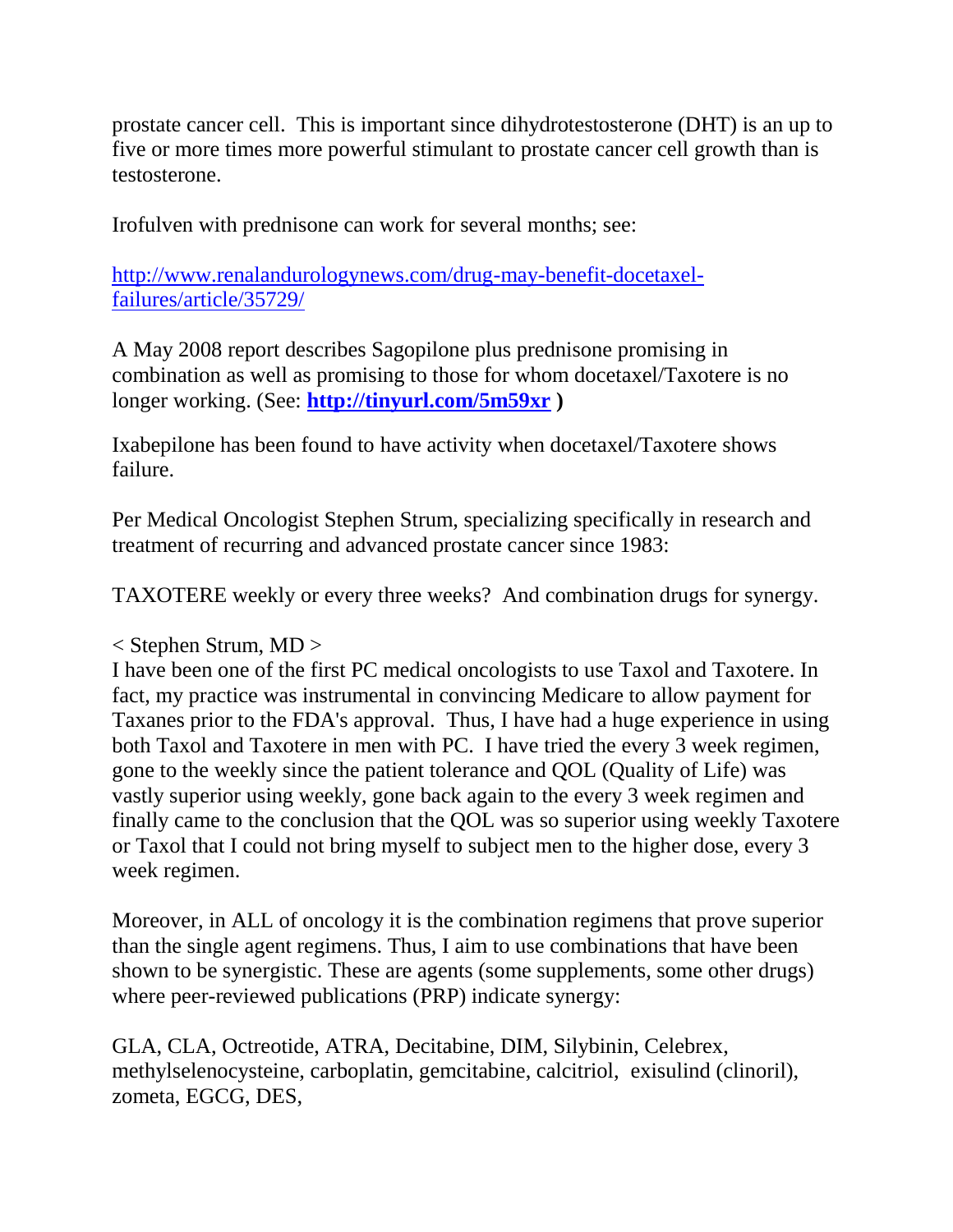prostate cancer cell. This is important since dihydrotestosterone (DHT) is an up to five or more times more powerful stimulant to prostate cancer cell growth than is testosterone.

Irofulven with prednisone can work for several months; see:

[http://www.renalandurologynews.com/drug-may-benefit-docetaxel](http://www.renalandurologynews.com/drug-may-benefit-docetaxel-failures/article/35729/)[failures/article/35729/](http://www.renalandurologynews.com/drug-may-benefit-docetaxel-failures/article/35729/) 

A May 2008 report describes Sagopilone plus prednisone promising in combination as well as promising to those for whom docetaxel/Taxotere is no longer working. (See: **<http://tinyurl.com/5m59xr> )**

Ixabepilone has been found to have activity when docetaxel/Taxotere shows failure.

Per Medical Oncologist Stephen Strum, specializing specifically in research and treatment of recurring and advanced prostate cancer since 1983:

TAXOTERE weekly or every three weeks? And combination drugs for synergy.

< Stephen Strum, MD >

I have been one of the first PC medical oncologists to use Taxol and Taxotere. In fact, my practice was instrumental in convincing Medicare to allow payment for Taxanes prior to the FDA's approval. Thus, I have had a huge experience in using both Taxol and Taxotere in men with PC. I have tried the every 3 week regimen, gone to the weekly since the patient tolerance and QOL (Quality of Life) was vastly superior using weekly, gone back again to the every 3 week regimen and finally came to the conclusion that the QOL was so superior using weekly Taxotere or Taxol that I could not bring myself to subject men to the higher dose, every 3 week regimen.

Moreover, in ALL of oncology it is the combination regimens that prove superior than the single agent regimens. Thus, I aim to use combinations that have been shown to be synergistic. These are agents (some supplements, some other drugs) where peer-reviewed publications (PRP) indicate synergy:

GLA, CLA, Octreotide, ATRA, Decitabine, DIM, Silybinin, Celebrex, methylselenocysteine, carboplatin, gemcitabine, calcitriol, exisulind (clinoril), zometa, EGCG, DES,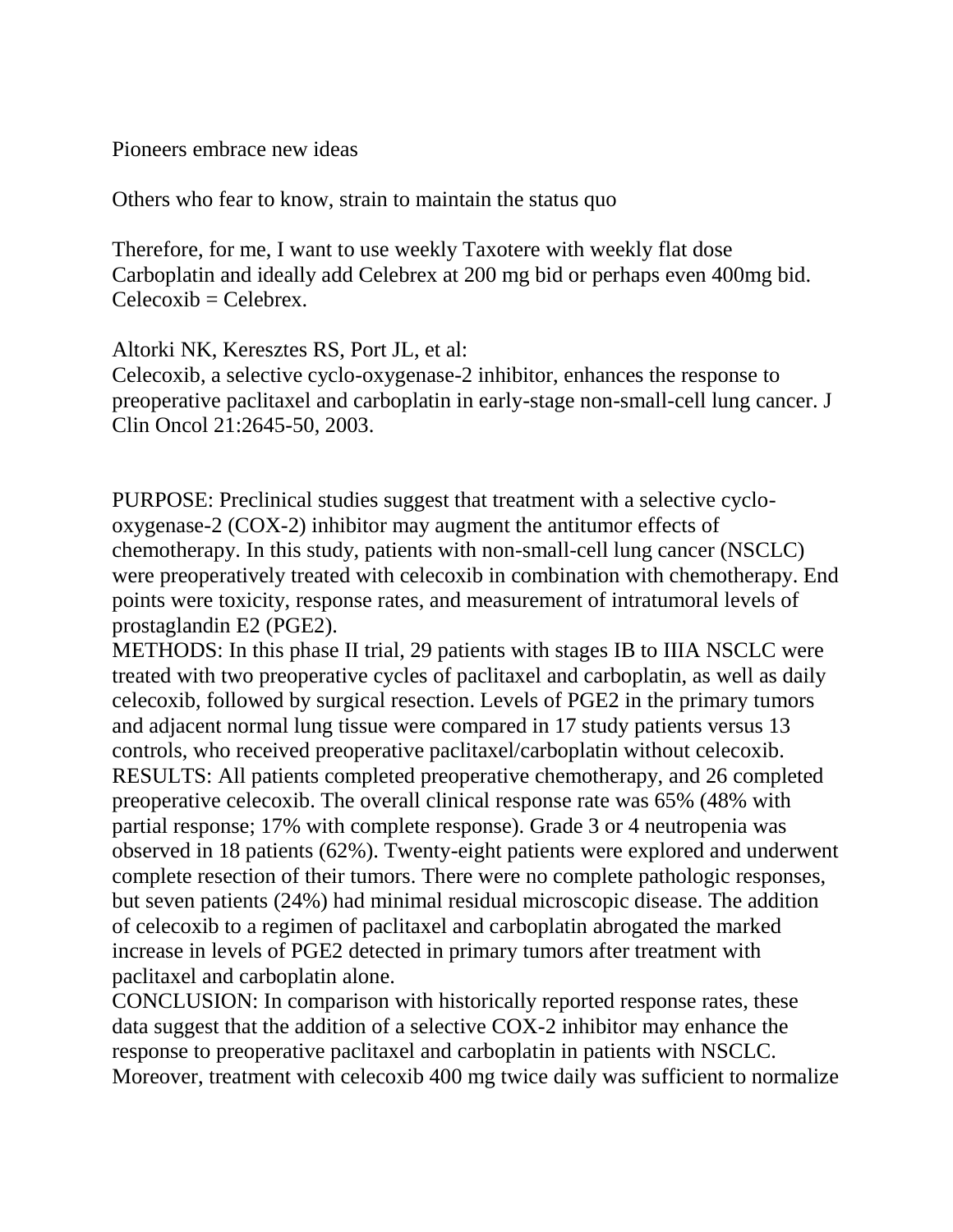Pioneers embrace new ideas

Others who fear to know, strain to maintain the status quo

Therefore, for me, I want to use weekly Taxotere with weekly flat dose Carboplatin and ideally add Celebrex at 200 mg bid or perhaps even 400mg bid.  $Celecoxib = Celebrex.$ 

Altorki NK, Keresztes RS, Port JL, et al:

Celecoxib, a selective cyclo-oxygenase-2 inhibitor, enhances the response to preoperative paclitaxel and carboplatin in early-stage non-small-cell lung cancer. J Clin Oncol 21:2645-50, 2003.

PURPOSE: Preclinical studies suggest that treatment with a selective cyclooxygenase-2 (COX-2) inhibitor may augment the antitumor effects of chemotherapy. In this study, patients with non-small-cell lung cancer (NSCLC) were preoperatively treated with celecoxib in combination with chemotherapy. End points were toxicity, response rates, and measurement of intratumoral levels of prostaglandin E2 (PGE2).

METHODS: In this phase II trial, 29 patients with stages IB to IIIA NSCLC were treated with two preoperative cycles of paclitaxel and carboplatin, as well as daily celecoxib, followed by surgical resection. Levels of PGE2 in the primary tumors and adjacent normal lung tissue were compared in 17 study patients versus 13 controls, who received preoperative paclitaxel/carboplatin without celecoxib. RESULTS: All patients completed preoperative chemotherapy, and 26 completed preoperative celecoxib. The overall clinical response rate was 65% (48% with partial response; 17% with complete response). Grade 3 or 4 neutropenia was observed in 18 patients (62%). Twenty-eight patients were explored and underwent complete resection of their tumors. There were no complete pathologic responses, but seven patients (24%) had minimal residual microscopic disease. The addition of celecoxib to a regimen of paclitaxel and carboplatin abrogated the marked increase in levels of PGE2 detected in primary tumors after treatment with paclitaxel and carboplatin alone.

CONCLUSION: In comparison with historically reported response rates, these data suggest that the addition of a selective COX-2 inhibitor may enhance the response to preoperative paclitaxel and carboplatin in patients with NSCLC. Moreover, treatment with celecoxib 400 mg twice daily was sufficient to normalize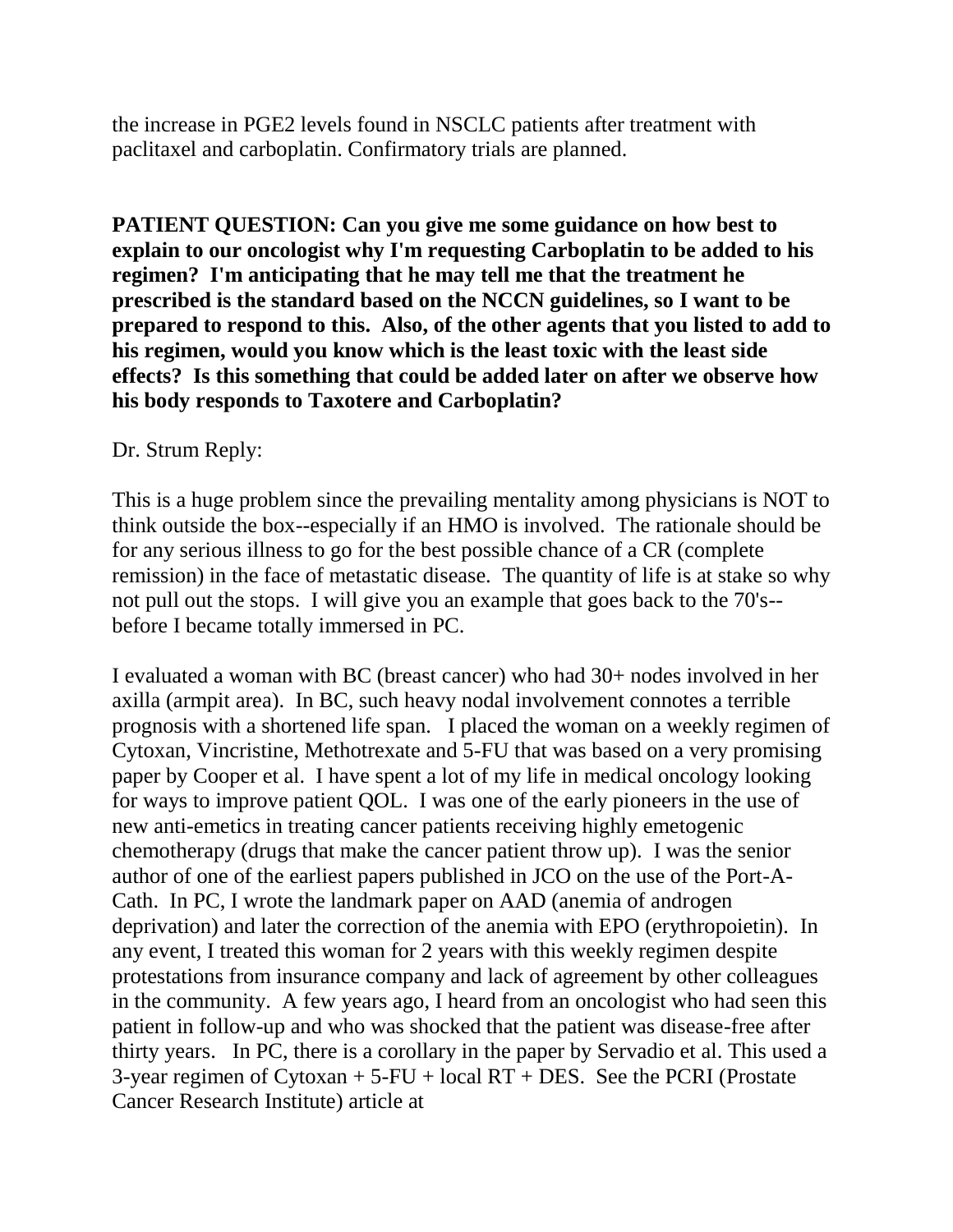the increase in PGE2 levels found in NSCLC patients after treatment with paclitaxel and carboplatin. Confirmatory trials are planned.

**PATIENT QUESTION: Can you give me some guidance on how best to explain to our oncologist why I'm requesting Carboplatin to be added to his regimen? I'm anticipating that he may tell me that the treatment he prescribed is the standard based on the NCCN guidelines, so I want to be prepared to respond to this. Also, of the other agents that you listed to add to his regimen, would you know which is the least toxic with the least side effects? Is this something that could be added later on after we observe how his body responds to Taxotere and Carboplatin?** 

#### Dr. Strum Reply:

This is a huge problem since the prevailing mentality among physicians is NOT to think outside the box--especially if an HMO is involved. The rationale should be for any serious illness to go for the best possible chance of a CR (complete remission) in the face of metastatic disease. The quantity of life is at stake so why not pull out the stops. I will give you an example that goes back to the 70's- before I became totally immersed in PC.

I evaluated a woman with BC (breast cancer) who had 30+ nodes involved in her axilla (armpit area). In BC, such heavy nodal involvement connotes a terrible prognosis with a shortened life span. I placed the woman on a weekly regimen of Cytoxan, Vincristine, Methotrexate and 5-FU that was based on a very promising paper by Cooper et al. I have spent a lot of my life in medical oncology looking for ways to improve patient QOL. I was one of the early pioneers in the use of new anti-emetics in treating cancer patients receiving highly emetogenic chemotherapy (drugs that make the cancer patient throw up). I was the senior author of one of the earliest papers published in JCO on the use of the Port-A-Cath. In PC, I wrote the landmark paper on AAD (anemia of androgen deprivation) and later the correction of the anemia with EPO (erythropoietin). In any event, I treated this woman for 2 years with this weekly regimen despite protestations from insurance company and lack of agreement by other colleagues in the community. A few years ago, I heard from an oncologist who had seen this patient in follow-up and who was shocked that the patient was disease-free after thirty years. In PC, there is a corollary in the paper by Servadio et al. This used a 3-year regimen of Cytoxan  $+ 5$ -FU + local RT + DES. See the PCRI (Prostate Cancer Research Institute) article at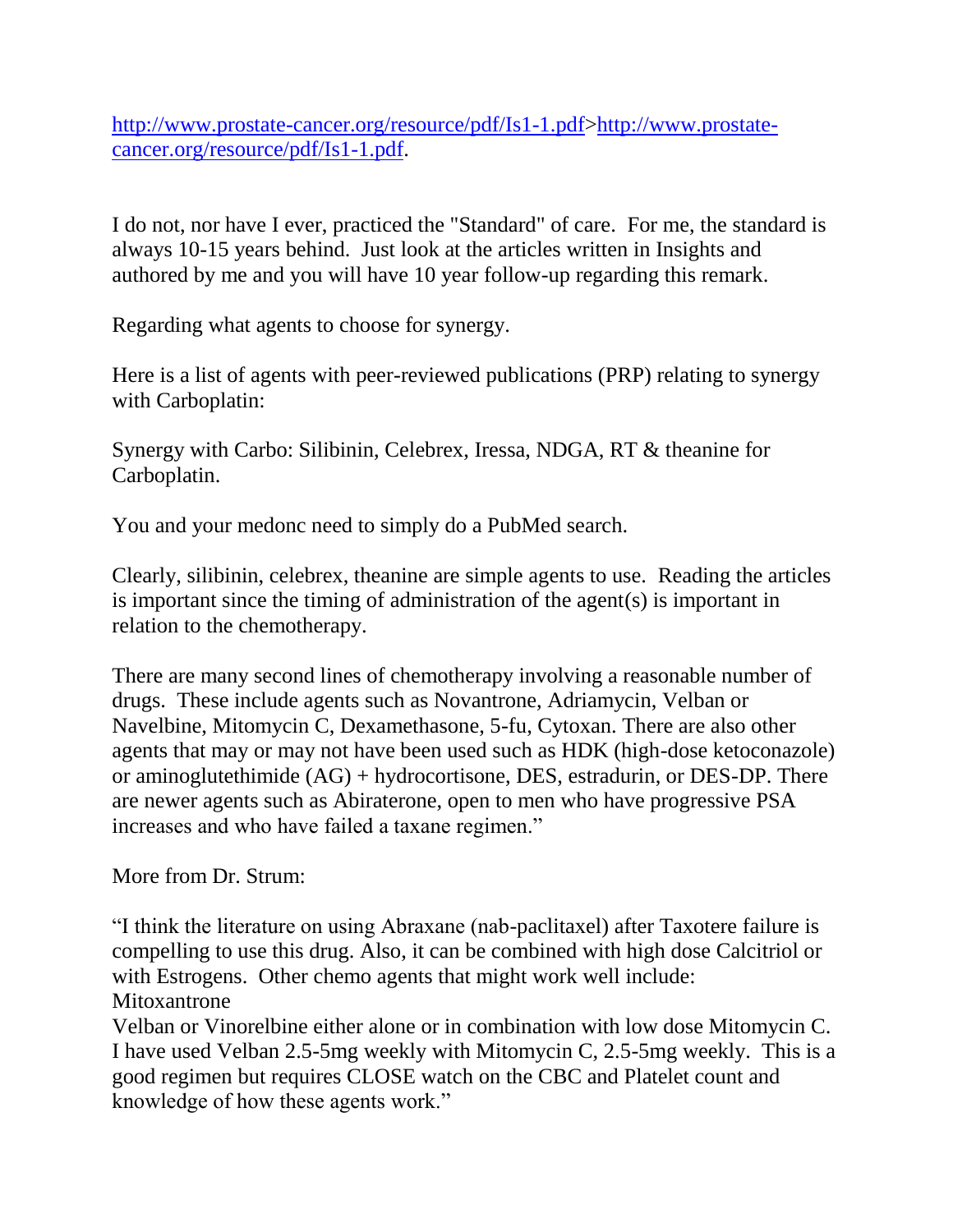[http://www.prostate-cancer.org/resource/pdf/Is1-1.pdf>http://www.prostate](http://www.prostate-cancer.org/resource/pdf/Is1-1.pdf)[cancer.org/resource/pdf/Is1-1.pdf.](http://www.prostate-cancer.org/resource/pdf/Is1-1.pdf)

I do not, nor have I ever, practiced the "Standard" of care. For me, the standard is always 10-15 years behind. Just look at the articles written in Insights and authored by me and you will have 10 year follow-up regarding this remark.

Regarding what agents to choose for synergy.

Here is a list of agents with peer-reviewed publications (PRP) relating to synergy with Carboplatin:

Synergy with Carbo: Silibinin, Celebrex, Iressa, NDGA, RT & theanine for Carboplatin.

You and your medonc need to simply do a PubMed search.

Clearly, silibinin, celebrex, theanine are simple agents to use. Reading the articles is important since the timing of administration of the agent(s) is important in relation to the chemotherapy.

There are many second lines of chemotherapy involving a reasonable number of drugs. These include agents such as Novantrone, Adriamycin, Velban or Navelbine, Mitomycin C, Dexamethasone, 5-fu, Cytoxan. There are also other agents that may or may not have been used such as HDK (high-dose ketoconazole) or aminoglutethimide (AG) + hydrocortisone, DES, estradurin, or DES-DP. There are newer agents such as Abiraterone, open to men who have progressive PSA increases and who have failed a taxane regimen."

More from Dr. Strum:

"I think the literature on using Abraxane (nab-paclitaxel) after Taxotere failure is compelling to use this drug. Also, it can be combined with high dose Calcitriol or with Estrogens. Other chemo agents that might work well include: Mitoxantrone

Velban or Vinorelbine either alone or in combination with low dose Mitomycin C. I have used Velban 2.5-5mg weekly with Mitomycin C, 2.5-5mg weekly. This is a good regimen but requires CLOSE watch on the CBC and Platelet count and knowledge of how these agents work."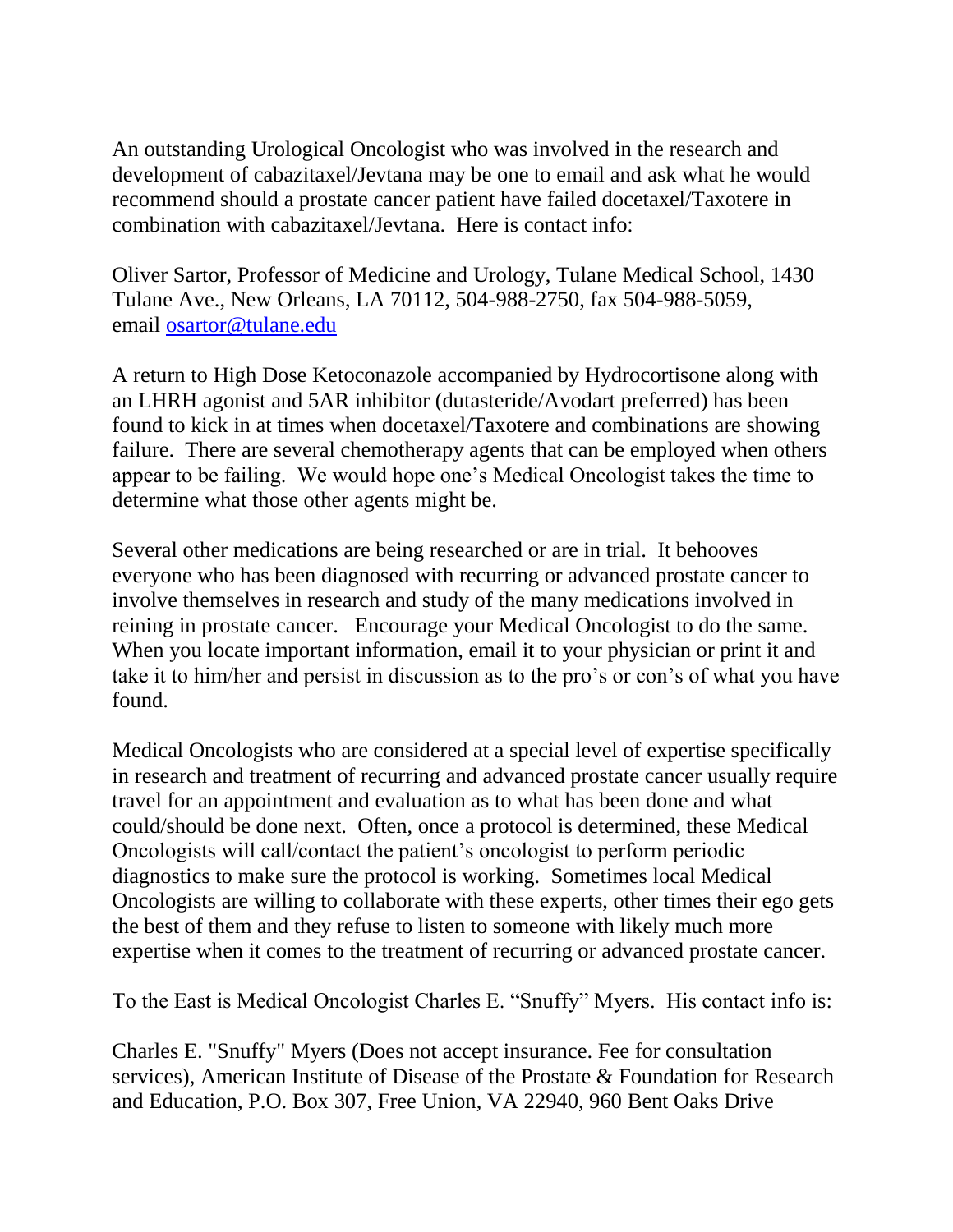An outstanding Urological Oncologist who was involved in the research and development of cabazitaxel/Jevtana may be one to email and ask what he would recommend should a prostate cancer patient have failed docetaxel/Taxotere in combination with cabazitaxel/Jevtana. Here is contact info:

Oliver Sartor, Professor of Medicine and Urology, Tulane Medical School, 1430 Tulane Ave., New Orleans, LA 70112, 504-988-2750, fax 504-988-5059, email [osartor@tulane.edu](mailto:osartor@tulane.edu)

A return to High Dose Ketoconazole accompanied by Hydrocortisone along with an LHRH agonist and 5AR inhibitor (dutasteride/Avodart preferred) has been found to kick in at times when docetaxel/Taxotere and combinations are showing failure. There are several chemotherapy agents that can be employed when others appear to be failing. We would hope one's Medical Oncologist takes the time to determine what those other agents might be.

Several other medications are being researched or are in trial. It behooves everyone who has been diagnosed with recurring or advanced prostate cancer to involve themselves in research and study of the many medications involved in reining in prostate cancer. Encourage your Medical Oncologist to do the same. When you locate important information, email it to your physician or print it and take it to him/her and persist in discussion as to the pro's or con's of what you have found.

Medical Oncologists who are considered at a special level of expertise specifically in research and treatment of recurring and advanced prostate cancer usually require travel for an appointment and evaluation as to what has been done and what could/should be done next. Often, once a protocol is determined, these Medical Oncologists will call/contact the patient's oncologist to perform periodic diagnostics to make sure the protocol is working. Sometimes local Medical Oncologists are willing to collaborate with these experts, other times their ego gets the best of them and they refuse to listen to someone with likely much more expertise when it comes to the treatment of recurring or advanced prostate cancer.

To the East is Medical Oncologist Charles E. "Snuffy" Myers. His contact info is:

Charles E. "Snuffy" Myers (Does not accept insurance. Fee for consultation services), American Institute of Disease of the Prostate & Foundation for Research and Education, P.O. Box 307, Free Union, VA 22940, 960 Bent Oaks Drive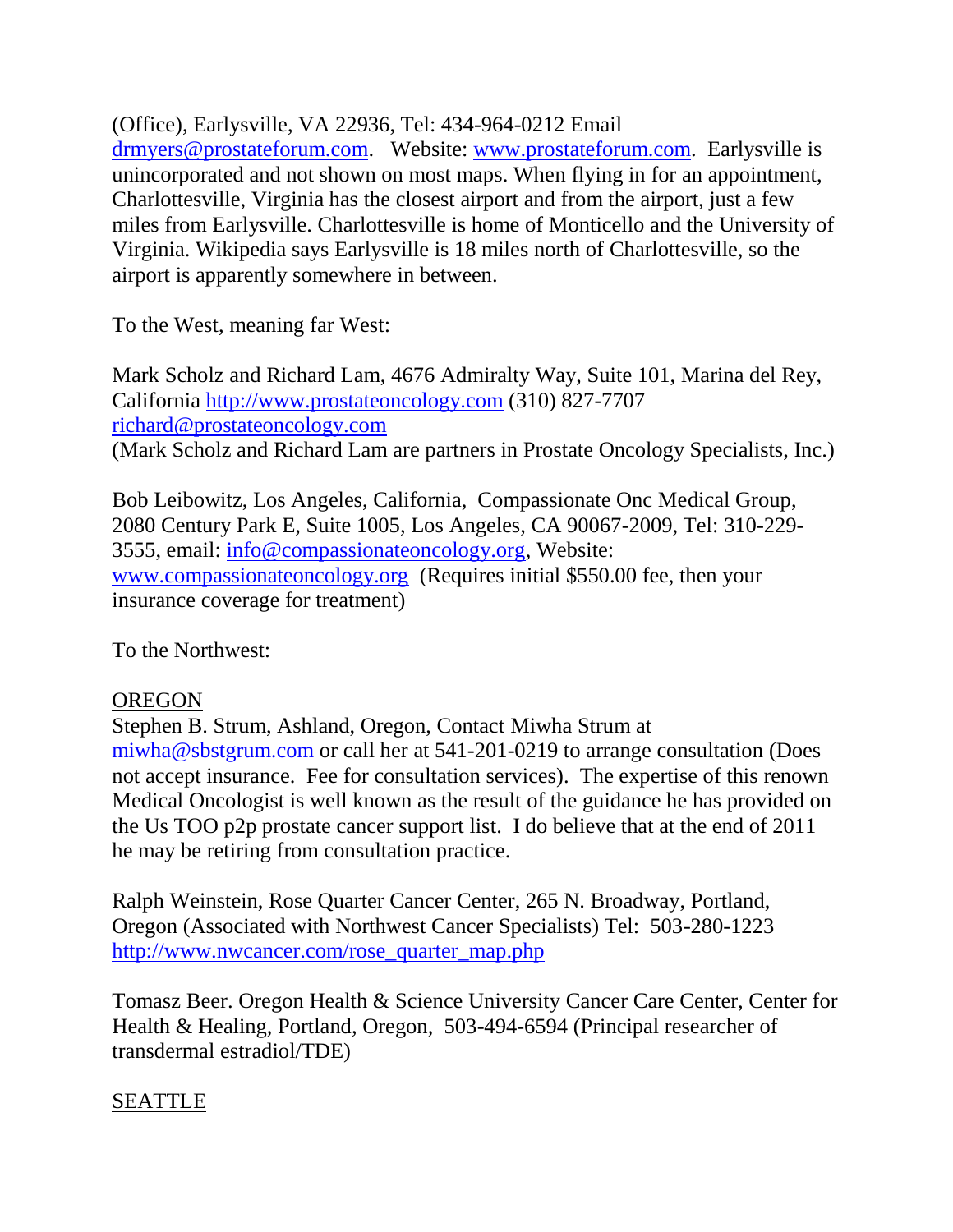(Office), Earlysville, VA 22936, Tel: 434-964-0212 Email

[drmyers@prostateforum.com.](mailto:drmyers@prostateforum.com) Website: [www.prostateforum.com.](http://www.prostateforum.com/) Earlysville is unincorporated and not shown on most maps. When flying in for an appointment, Charlottesville, Virginia has the closest airport and from the airport, just a few miles from Earlysville. Charlottesville is home of Monticello and the University of Virginia. Wikipedia says Earlysville is 18 miles north of Charlottesville, so the airport is apparently somewhere in between.

To the West, meaning far West:

Mark Scholz and Richard Lam, 4676 Admiralty Way, Suite 101, Marina del Rey, California [http://www.prostateoncology.com](http://www.prostateoncology.com/) (310) 827-7707 [richard@prostateoncology.com](mailto:richard@prostateoncology.com)  (Mark Scholz and Richard Lam are partners in Prostate Oncology Specialists, Inc.)

Bob Leibowitz, Los Angeles, California, Compassionate Onc Medical Group, 2080 Century Park E, Suite 1005, Los Angeles, CA 90067-2009, Tel: 310-229- 3555, email: [info@compassionateoncology.org,](mailto:info@compassionateoncology.org) Website: [www.compassionateoncology.org](http://www.compassionateoncology.org/) (Requires initial \$550.00 fee, then your insurance coverage for treatment)

To the Northwest:

### OREGON

Stephen B. Strum, Ashland, Oregon, Contact Miwha Strum at [miwha@sbstgrum.com](mailto:miwha@sbstgrum.com) or call her at 541-201-0219 to arrange consultation (Does not accept insurance. Fee for consultation services). The expertise of this renown Medical Oncologist is well known as the result of the guidance he has provided on the Us TOO p2p prostate cancer support list. I do believe that at the end of 2011 he may be retiring from consultation practice.

Ralph Weinstein, Rose Quarter Cancer Center, 265 N. Broadway, Portland, Oregon (Associated with Northwest Cancer Specialists) Tel: 503-280-1223 [http://www.nwcancer.com/rose\\_quarter\\_map.php](http://www.nwcancer.com/rose_quarter_map.php)

Tomasz Beer. Oregon Health & Science University Cancer Care Center, Center for Health & Healing, Portland, Oregon, 503-494-6594 (Principal researcher of transdermal estradiol/TDE)

### SEATTLE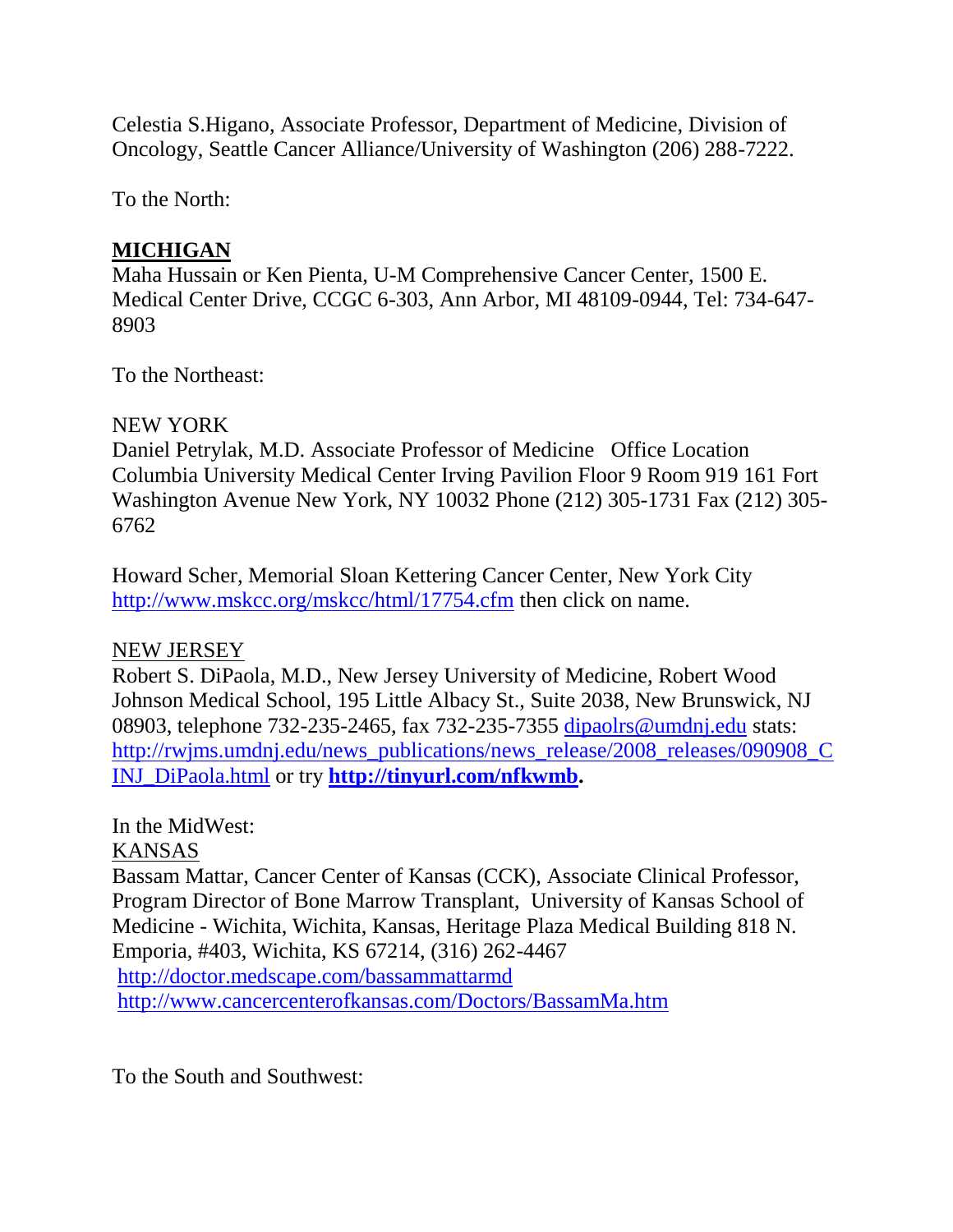Celestia S.Higano, Associate Professor, Department of Medicine, Division of Oncology, Seattle Cancer Alliance/University of Washington (206) 288-7222.

To the North:

# **MICHIGAN**

Maha Hussain or Ken Pienta, U-M Comprehensive Cancer Center, 1500 E. Medical Center Drive, CCGC 6-303, Ann Arbor, MI 48109-0944, Tel: 734-647- 8903

To the Northeast:

### NEW YORK

Daniel Petrylak, M.D. Associate Professor of Medicine Office Location Columbia University Medical Center Irving Pavilion Floor 9 Room 919 161 Fort Washington Avenue New York, NY 10032 Phone (212) 305-1731 Fax (212) 305- 6762

Howard Scher, Memorial Sloan Kettering Cancer Center, New York City <http://www.mskcc.org/mskcc/html/17754.cfm> then click on name.

## NEW JERSEY

Robert S. DiPaola, M.D., New Jersey University of Medicine, Robert Wood Johnson Medical School, 195 Little Albacy St., Suite 2038, New Brunswick, NJ 08903, telephone 732-235-2465, fax 732-235-7355 [dipaolrs@umdnj.edu](mailto:dipaolrs@umdnj.edu) stats: [http://rwjms.umdnj.edu/news\\_publications/news\\_release/2008\\_releases/090908\\_C](http://rwjms.umdnj.edu/news_publications/news_release/2008_releases/090908_CINJ_DiPaola.html) [INJ\\_DiPaola.html](http://rwjms.umdnj.edu/news_publications/news_release/2008_releases/090908_CINJ_DiPaola.html) or try **[http://tinyurl.com/nfkwmb.](http://tinyurl.com/nfkwmb)**

## In the MidWest:

## KANSAS

Bassam Mattar, Cancer Center of Kansas (CCK), Associate Clinical Professor, Program Director of Bone Marrow Transplant, University of Kansas School of Medicine - Wichita, Wichita, Kansas, Heritage Plaza Medical Building 818 N. Emporia, #403, Wichita, KS 67214, (316) 262-4467

<http://doctor.medscape.com/bassammattarmd> <http://www.cancercenterofkansas.com/Doctors/BassamMa.htm>

To the South and Southwest: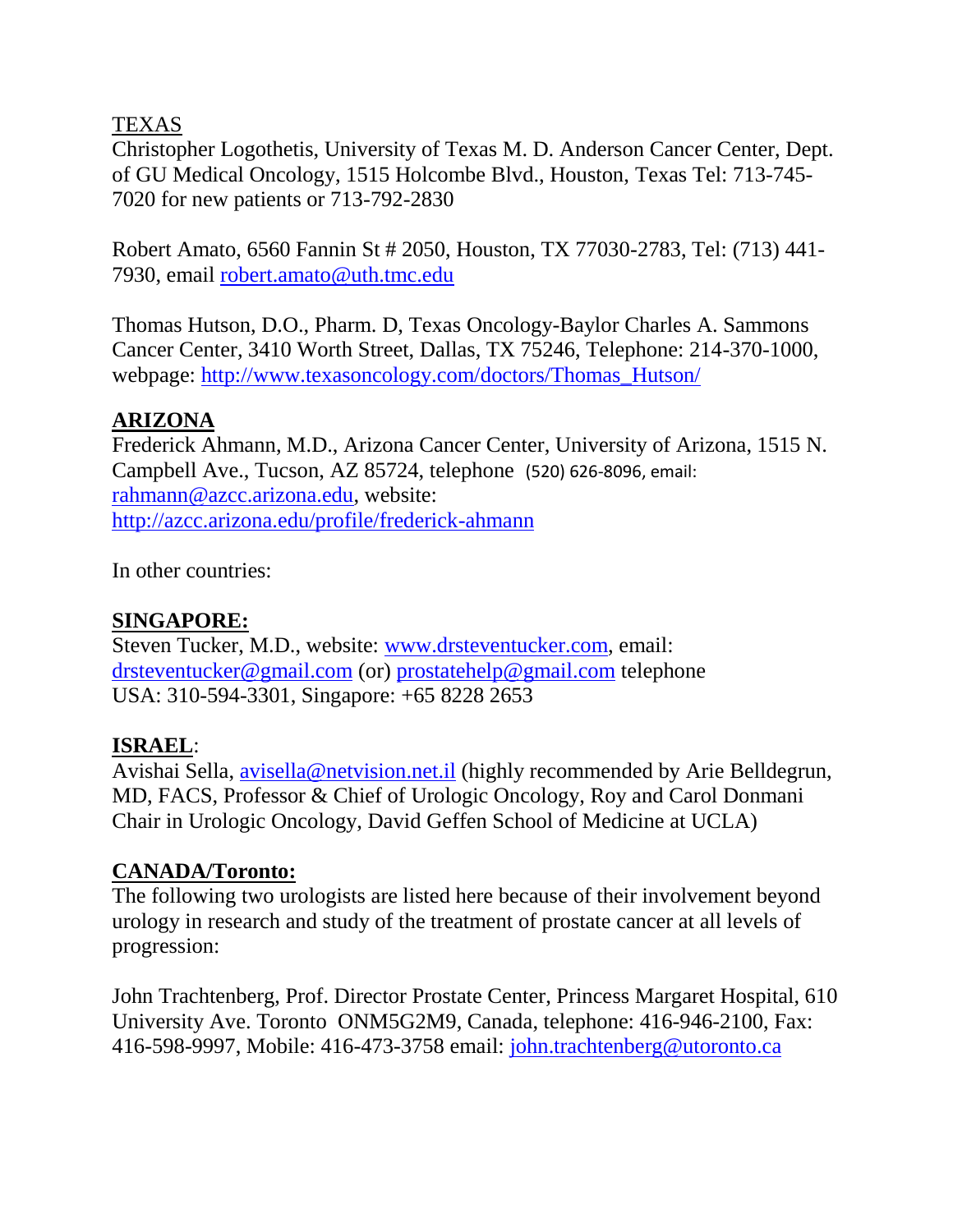### TEXAS

Christopher Logothetis, University of Texas M. D. Anderson Cancer Center, Dept. of GU Medical Oncology, 1515 Holcombe Blvd., Houston, Texas Tel: 713-745- 7020 for new patients or 713-792-2830

Robert Amato, 6560 Fannin St # 2050, Houston, TX 77030-2783, Tel: (713) 441- 7930, email [robert.amato@uth.tmc.edu](mailto:robert.amato@uth.tmc.edu)

Thomas Hutson, D.O., Pharm. D, Texas Oncology-Baylor Charles A. Sammons Cancer Center, 3410 Worth Street, Dallas, TX 75246, Telephone: 214-370-1000, webpage: [http://www.texasoncology.com/doctors/Thomas\\_Hutson/](http://www.texasoncology.com/doctors/Thomas_Hutson/)

#### **ARIZONA**

Frederick Ahmann, M.D., Arizona Cancer Center, University of Arizona, 1515 N. Campbell Ave., Tucson, AZ 85724, telephone (520) 626-8096, email: [rahmann@azcc.arizona.edu,](mailto:rahmann@azcc.arizona.edu) website: <http://azcc.arizona.edu/profile/frederick-ahmann>

In other countries:

#### **SINGAPORE:**

Steven Tucker, M.D., website: [www.drsteventucker.com,](http://www.drsteventucker.com/) email: [drsteventucker@gmail.com](mailto:drsteventucker@gmail.com) (or) [prostatehelp@gmail.com](mailto:prostatehelp@gmail.com) telephone USA: 310-594-3301, Singapore: +65 8228 2653

#### **ISRAEL**:

Avishai Sella,<avisella@netvision.net.il> (highly recommended by Arie Belldegrun, MD, FACS, Professor & Chief of Urologic Oncology, Roy and Carol Donmani Chair in Urologic Oncology, David Geffen School of Medicine at UCLA)

### **CANADA/Toronto:**

The following two urologists are listed here because of their involvement beyond urology in research and study of the treatment of prostate cancer at all levels of progression:

John Trachtenberg, Prof. Director Prostate Center, Princess Margaret Hospital, 610 University Ave. Toronto ONM5G2M9, Canada, telephone: 416-946-2100, Fax: 416-598-9997, Mobile: 416-473-3758 email: [john.trachtenberg@utoronto.ca](mailto:john.trachtenberg@utoronto.ca)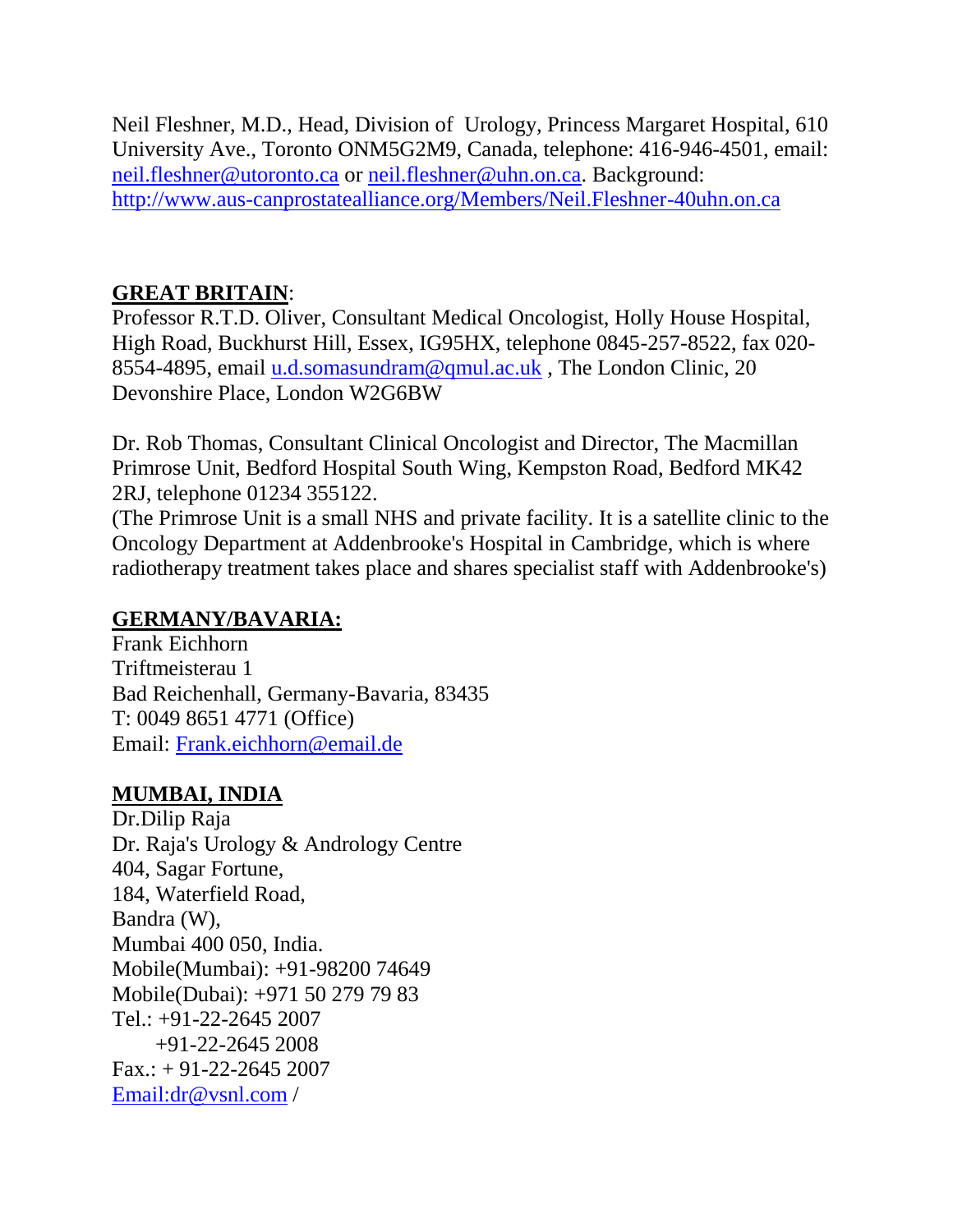Neil Fleshner, M.D., Head, Division of Urology, Princess Margaret Hospital, 610 University Ave., Toronto ONM5G2M9, Canada, telephone: 416-946-4501, email: [neil.fleshner@utoronto.ca](mailto:neil.fleshner@utoronto.ca) or [neil.fleshner@uhn.on.ca.](mailto:neil.fleshner@uhn.on.ca) Background: <http://www.aus-canprostatealliance.org/Members/Neil.Fleshner-40uhn.on.ca>

# **GREAT BRITAIN**:

Professor R.T.D. Oliver, Consultant Medical Oncologist, Holly House Hospital, High Road, Buckhurst Hill, Essex, IG95HX, telephone 0845-257-8522, fax 020 8554-4895, email [u.d.somasundram@qmul.ac.uk](mailto:u.d.somasundram@qmul.ac.uk), The London Clinic, 20 Devonshire Place, London W2G6BW

Dr. Rob Thomas, Consultant Clinical Oncologist and Director, The Macmillan Primrose Unit, Bedford Hospital South Wing, Kempston Road, Bedford MK42 2RJ, telephone 01234 355122.

(The Primrose Unit is a small NHS and private facility. It is a satellite clinic to the Oncology Department at Addenbrooke's Hospital in Cambridge, which is where radiotherapy treatment takes place and shares specialist staff with Addenbrooke's)

### **GERMANY/BAVARIA:**

Frank Eichhorn Triftmeisterau 1 Bad Reichenhall, Germany-Bavaria, 83435 T: 0049 8651 4771 (Office) Email: [Frank.eichhorn@email.de](mailto:Frank.eichhorn@email.de)

# **MUMBAI, INDIA**

Dr.Dilip Raja Dr. Raja's Urology & Andrology Centre 404, Sagar Fortune, 184, Waterfield Road, Bandra (W), Mumbai 400 050, India. Mobile(Mumbai): +91-98200 74649 Mobile(Dubai): +971 50 279 79 83 Tel.: +91-22-2645 2007 +91-22-2645 2008  $Fax.: + 91-22-26452007$ [Email:dr@vsnl.com](mailto:Email%3Adr@vsnl.com) /